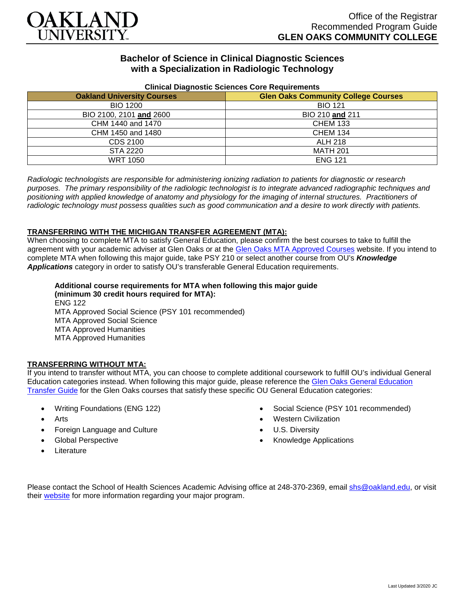

# **Bachelor of Science in Clinical Diagnostic Sciences with a Specialization in Radiologic Technology**

| <b>Uninual Diagnostic Ocionocs Obio Requirements</b> |                                            |
|------------------------------------------------------|--------------------------------------------|
| <b>Oakland University Courses</b>                    | <b>Glen Oaks Community College Courses</b> |
| <b>BIO 1200</b>                                      | <b>BIO 121</b>                             |
| BIO 2100, 2101 and 2600                              | BIO 210 and 211                            |
| CHM 1440 and 1470                                    | <b>CHEM 133</b>                            |
| CHM 1450 and 1480                                    | <b>CHEM 134</b>                            |
| CDS 2100                                             | <b>ALH 218</b>                             |
| STA 2220                                             | <b>MATH 201</b>                            |
| <b>WRT 1050</b>                                      | <b>ENG 121</b>                             |

### **Clinical Diagnostic Sciences Core Requirements**

*Radiologic technologists are responsible for administering ionizing radiation to patients for diagnostic or research purposes. The primary responsibility of the radiologic technologist is to integrate advanced radiographic techniques and positioning with applied knowledge of anatomy and physiology for the imaging of internal structures. Practitioners of radiologic technology must possess qualities such as good communication and a desire to work directly with patients.*

### **TRANSFERRING WITH THE MICHIGAN TRANSFER AGREEMENT (MTA):**

When choosing to complete MTA to satisfy General Education, please confirm the best courses to take to fulfill the agreement with your academic adviser at Glen Oaks or at the [Glen Oaks MTA Approved Courses](https://www.glenoaks.edu/current-students/registration-records/#MTA) website. If you intend to complete MTA when following this major guide, take PSY 210 or select another course from OU's *Knowledge Applications* category in order to satisfy OU's transferable General Education requirements.

**Additional course requirements for MTA when following this major guide (minimum 30 credit hours required for MTA):** ENG 122 MTA Approved Social Science (PSY 101 recommended) MTA Approved Social Science MTA Approved Humanities MTA Approved Humanities

### **TRANSFERRING WITHOUT MTA:**

If you intend to transfer without MTA, you can choose to complete additional coursework to fulfill OU's individual General Education categories instead. When following this major guide, please reference the Glen Oaks General Education [Transfer Guide](https://www.oakland.edu/Assets/Oakland/program-guides/glen-oaks-community-college/university-general-education-requirements/Glen%20Oaks%20Gen%20Ed.pdf) for the Glen Oaks courses that satisfy these specific OU General Education categories:

- Writing Foundations (ENG 122)
- Arts
- Foreign Language and Culture
- Global Perspective
- **Literature**
- Social Science (PSY 101 recommended)
- Western Civilization
- U.S. Diversity
- Knowledge Applications

Please contact the School of Health Sciences Academic Advising office at 248-370-2369, email [shs@oakland.edu,](mailto:shs@oakland.edu) or visit their [website](http://www.oakland.edu/shs/advising) for more information regarding your major program.